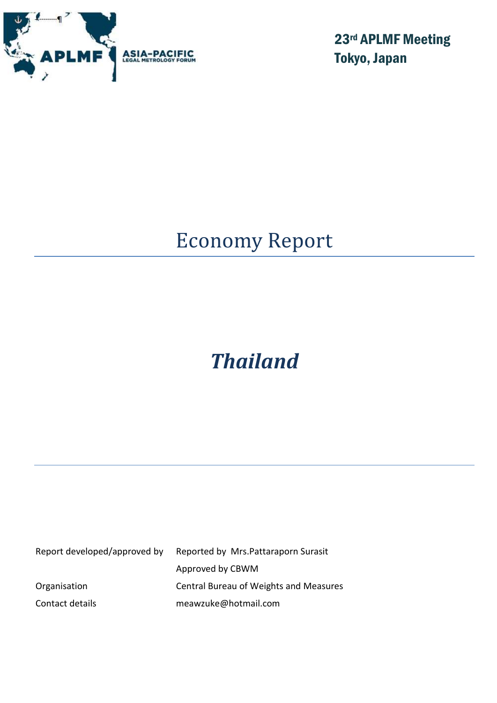

23rd APLMF Meeting Tokyo, Japan

# Economy Report

# *Thailand*

| Report developed/approved by | Reported by Mrs. Pattaraporn Surasit   |
|------------------------------|----------------------------------------|
|                              | Approved by CBWM                       |
| Organisation                 | Central Bureau of Weights and Measures |
| Contact details              | meawzuke@hotmail.com                   |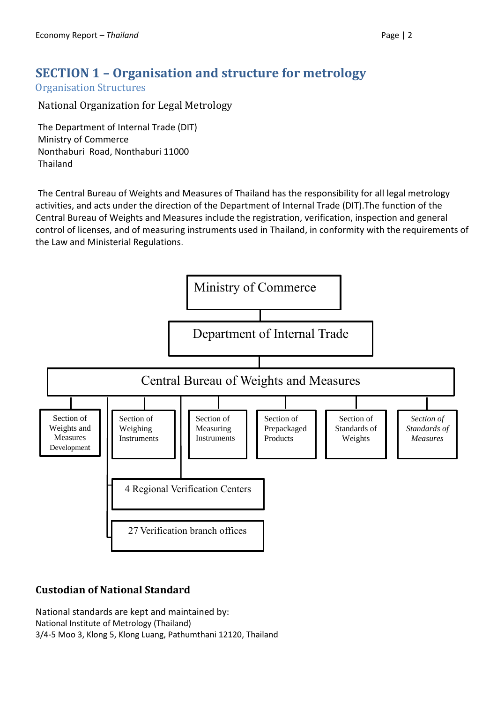# **SECTION 1 – Organisation and structure for metrology**

Organisation Structures

National Organization for Legal Metrology

The Department of Internal Trade (DIT) Ministry of Commerce Nonthaburi Road, Nonthaburi 11000 Thailand

The Central Bureau of Weights and Measures of Thailand has the responsibility for all legal metrology activities, and acts under the direction of the Department of Internal Trade (DIT).The function of the Central Bureau of Weights and Measures include the registration, verification, inspection and general control of licenses, and of measuring instruments used in Thailand, in conformity with the requirements of the Law and Ministerial Regulations.



# **Custodian of National Standard**

National standards are kept and maintained by: National Institute of Metrology (Thailand) 3/4-5 Moo 3, Klong 5, Klong Luang, Pathumthani 12120, Thailand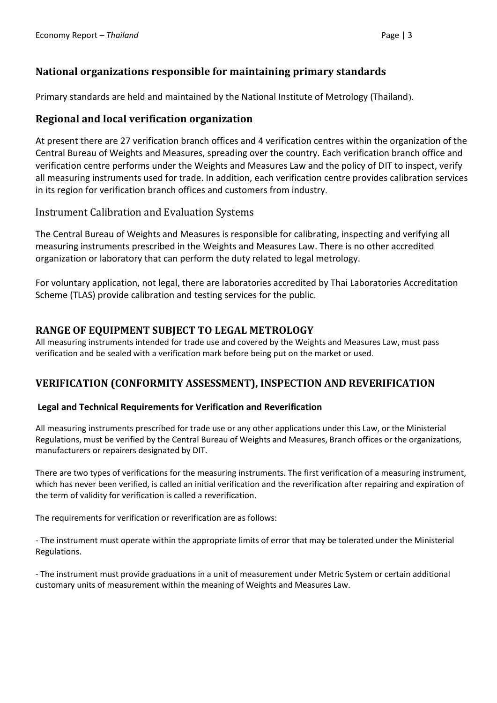## **National organizations responsible for maintaining primary standards**

Primary standards are held and maintained by the National Institute of Metrology (Thailand).

#### **Regional and local verification organization**

At present there are 27 verification branch offices and 4 verification centres within the organization of the Central Bureau of Weights and Measures, spreading over the country. Each verification branch office and verification centre performs under the Weights and Measures Law and the policy of DIT to inspect, verify all measuring instruments used for trade. In addition, each verification centre provides calibration services in its region for verification branch offices and customers from industry.

#### Instrument Calibration and Evaluation Systems

The Central Bureau of Weights and Measures is responsible for calibrating, inspecting and verifying all measuring instruments prescribed in the Weights and Measures Law. There is no other accredited organization or laboratory that can perform the duty related to legal metrology.

For voluntary application, not legal, there are laboratories accredited by Thai Laboratories Accreditation Scheme (TLAS) provide calibration and testing services for the public.

#### **RANGE OF EQUIPMENT SUBJECT TO LEGAL METROLOGY**

All measuring instruments intended for trade use and covered by the Weights and Measures Law, must pass verification and be sealed with a verification mark before being put on the market or used.

### **VERIFICATION (CONFORMITY ASSESSMENT), INSPECTION AND REVERIFICATION**

#### **Legal and Technical Requirements for Verification and Reverification**

All measuring instruments prescribed for trade use or any other applications under this Law, or the Ministerial Regulations, must be verified by the Central Bureau of Weights and Measures, Branch offices or the organizations, manufacturers or repairers designated by DIT.

There are two types of verifications for the measuring instruments. The first verification of a measuring instrument, which has never been verified, is called an initial verification and the reverification after repairing and expiration of the term of validity for verification is called a reverification.

The requirements for verification or reverification are as follows:

- The instrument must operate within the appropriate limits of error that may be tolerated under the Ministerial Regulations.

- The instrument must provide graduations in a unit of measurement under Metric System or certain additional customary units of measurement within the meaning of Weights and Measures Law.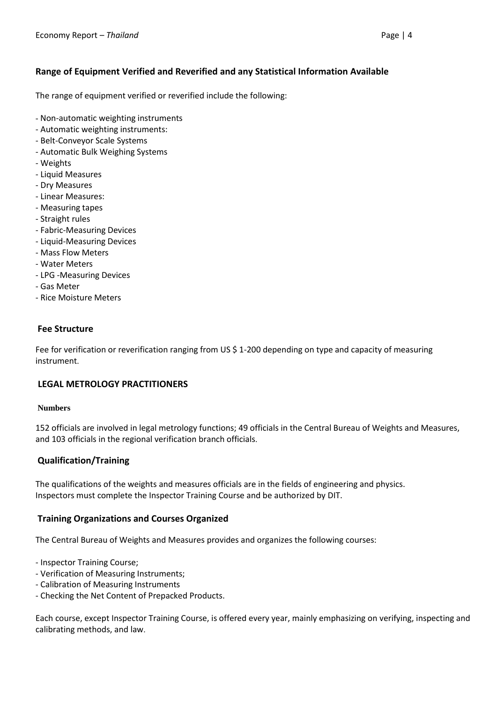#### **Range of Equipment Verified and Reverified and any Statistical Information Available**

The range of equipment verified or reverified include the following:

- Non-automatic weighting instruments
- Automatic weighting instruments:
- Belt-Conveyor Scale Systems
- Automatic Bulk Weighing Systems
- Weights
- Liquid Measures
- Dry Measures
- Linear Measures:
- Measuring tapes
- Straight rules
- Fabric-Measuring Devices
- Liquid-Measuring Devices
- Mass Flow Meters
- Water Meters
- LPG -Measuring Devices
- Gas Meter
- Rice Moisture Meters

#### **Fee Structure**

Fee for verification or reverification ranging from US \$ 1-200 depending on type and capacity of measuring instrument.

#### **LEGAL METROLOGY PRACTITIONERS**

#### **Numbers**

152 officials are involved in legal metrology functions; 49 officials in the Central Bureau of Weights and Measures, and 103 officials in the regional verification branch officials.

#### **Qualification/Training**

The qualifications of the weights and measures officials are in the fields of engineering and physics. Inspectors must complete the Inspector Training Course and be authorized by DIT.

#### **Training Organizations and Courses Organized**

The Central Bureau of Weights and Measures provides and organizes the following courses:

- Inspector Training Course;
- Verification of Measuring Instruments;
- Calibration of Measuring Instruments
- Checking the Net Content of Prepacked Products.

Each course, except Inspector Training Course, is offered every year, mainly emphasizing on verifying, inspecting and calibrating methods, and law.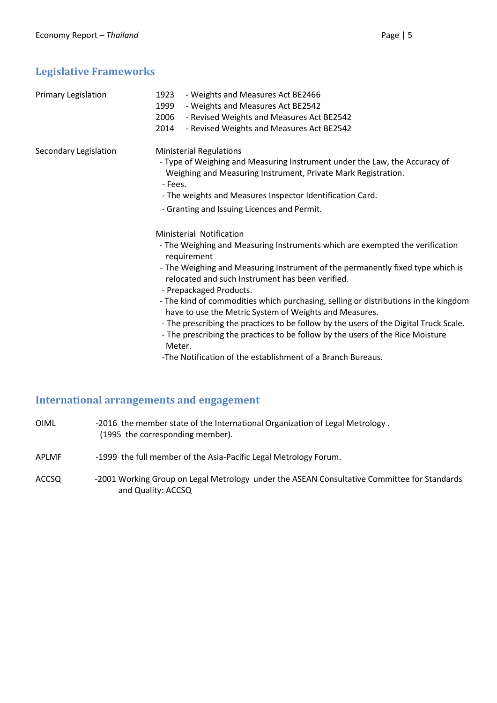# **Legislative Frameworks**

| Primary Legislation   | - Weights and Measures Act BE2466<br>1923<br>- Weights and Measures Act BE2542<br>1999<br>2006<br>- Revised Weights and Measures Act BE2542<br>2014<br>- Revised Weights and Measures Act BE2542                                                                                                                                                                                                                                                                                                                                                                                                                                                                                              |
|-----------------------|-----------------------------------------------------------------------------------------------------------------------------------------------------------------------------------------------------------------------------------------------------------------------------------------------------------------------------------------------------------------------------------------------------------------------------------------------------------------------------------------------------------------------------------------------------------------------------------------------------------------------------------------------------------------------------------------------|
| Secondary Legislation | <b>Ministerial Regulations</b><br>- Type of Weighing and Measuring Instrument under the Law, the Accuracy of<br>Weighing and Measuring Instrument, Private Mark Registration.<br>- Fees.<br>- The weights and Measures Inspector Identification Card.<br>- Granting and Issuing Licences and Permit.                                                                                                                                                                                                                                                                                                                                                                                          |
|                       | Ministerial Notification<br>- The Weighing and Measuring Instruments which are exempted the verification<br>requirement<br>- The Weighing and Measuring Instrument of the permanently fixed type which is<br>relocated and such Instrument has been verified.<br>- Prepackaged Products.<br>- The kind of commodities which purchasing, selling or distributions in the kingdom<br>have to use the Metric System of Weights and Measures.<br>- The prescribing the practices to be follow by the users of the Digital Truck Scale.<br>- The prescribing the practices to be follow by the users of the Rice Moisture<br>Meter.<br>-The Notification of the establishment of a Branch Bureaus. |

# **International arrangements and engagement**

| OIML         | -2016 the member state of the International Organization of Legal Metrology.<br>(1995 the corresponding member). |
|--------------|------------------------------------------------------------------------------------------------------------------|
| <b>APLMF</b> | -1999 the full member of the Asia-Pacific Legal Metrology Forum.                                                 |

ACCSQ -2001 Working Group on Legal Metrology under the ASEAN Consultative Committee for Standards and Quality: ACCSQ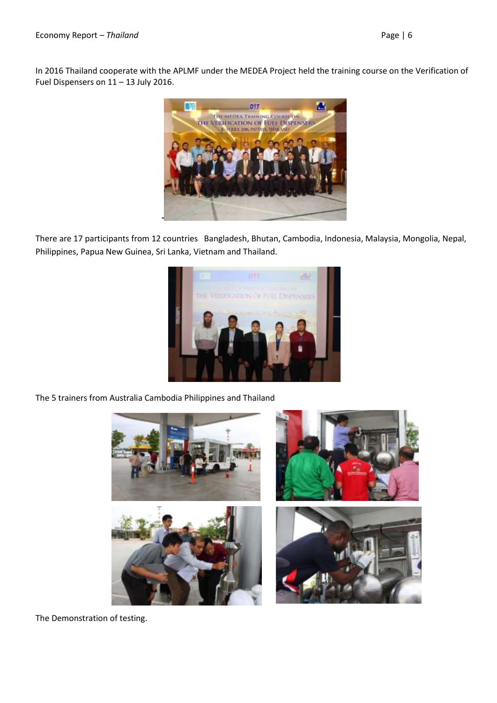In 2016 Thailand cooperate with the APLMF under the MEDEA Project held the training course on the Verification of Fuel Dispensers on 11 – 13 July 2016.



There are 17 participants from 12 countries Bangladesh, Bhutan, Cambodia, Indonesia, Malaysia, Mongolia, Nepal, Philippines, Papua New Guinea, Sri Lanka, Vietnam and Thailand.



The 5 trainers from Australia Cambodia Philippines and Thailand



The Demonstration of testing.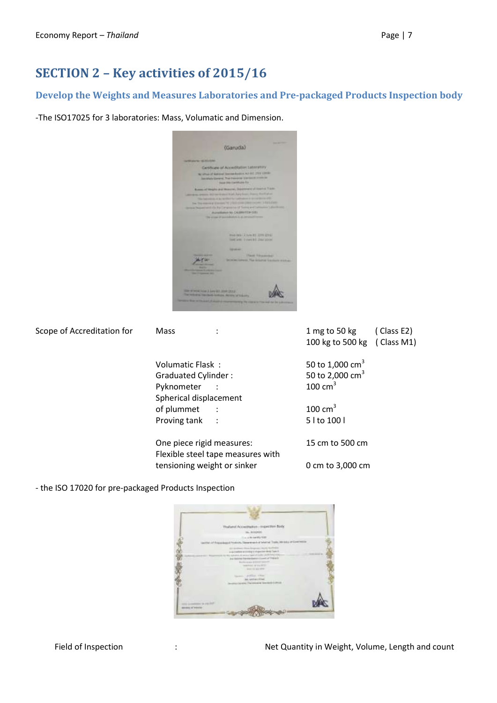# **SECTION 2 – Key activities of 2015/16**

## **Develop the Weights and Measures Laboratories and Pre-packaged Products Inspection body**

-The ISO17025 for 3 laboratories: Mass, Volumatic and Dimension.



| Scope of Accreditation for                                       | <b>Mass</b>               | 1 mg to 50 kg<br>(Class E2)<br>100 kg to 500 kg ( Class M1) |
|------------------------------------------------------------------|---------------------------|-------------------------------------------------------------|
|                                                                  | Volumatic Flask:          | 50 to 1,000 cm <sup>3</sup>                                 |
|                                                                  | Graduated Cylinder:       | 50 to 2,000 $cm3$                                           |
|                                                                  | Pyknometer :              | $100 \text{ cm}^3$                                          |
|                                                                  | Spherical displacement    |                                                             |
|                                                                  | of plummet                | $100 \text{ cm}^3$                                          |
|                                                                  | Proving tank<br>$\sim$ :  | 5   to 100                                                  |
|                                                                  | One piece rigid measures: | 15 cm to 500 cm                                             |
| Flexible steel tape measures with<br>tensioning weight or sinker |                           | 0 cm to 3,000 cm                                            |

- the ISO 17020 for pre-packaged Products Inspection

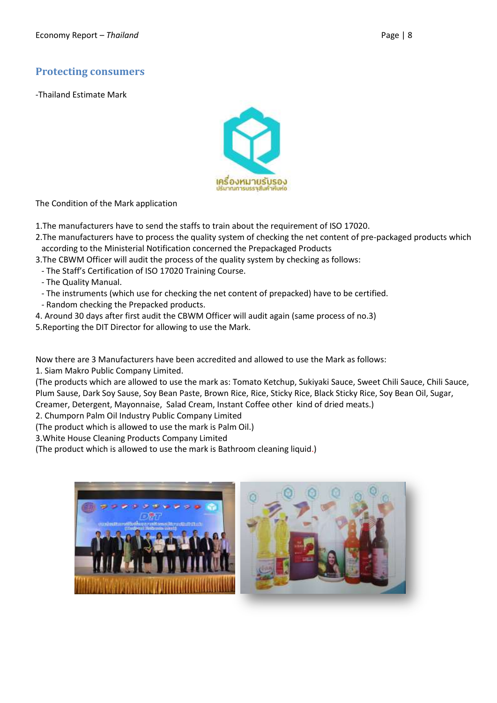## **Protecting consumers**

-Thailand Estimate Mark



The Condition of the Mark application

1.The manufacturers have to send the staffs to train about the requirement of ISO 17020.

- 2.The manufacturers have to process the quality system of checking the net content of pre-packaged products which according to the Ministerial Notification concerned the Prepackaged Products
- 3.The CBWM Officer will audit the process of the quality system by checking as follows:
	- The Staff's Certification of ISO 17020 Training Course.

- The Quality Manual.

- The instruments (which use for checking the net content of prepacked) have to be certified.
- Random checking the Prepacked products.
- 4. Around 30 days after first audit the CBWM Officer will audit again (same process of no.3)
- 5.Reporting the DIT Director for allowing to use the Mark.

Now there are 3 Manufacturers have been accredited and allowed to use the Mark as follows:

1. Siam Makro Public Company Limited.

(The products which are allowed to use the mark as: Tomato Ketchup, Sukiyaki Sauce, Sweet Chili Sauce, Chili Sauce, Plum Sause, Dark Soy Sause, Soy Bean Paste, Brown Rice, Rice, Sticky Rice, Black Sticky Rice, Soy Bean Oil, Sugar, Creamer, Detergent, Mayonnaise, Salad Cream, Instant Coffee other kind of dried meats.)

2. Chumporn Palm Oil Industry Public Company Limited

(The product which is allowed to use the mark is Palm Oil.)

3.White House Cleaning Products Company Limited

(The product which is allowed to use the mark is Bathroom cleaning liquid.)